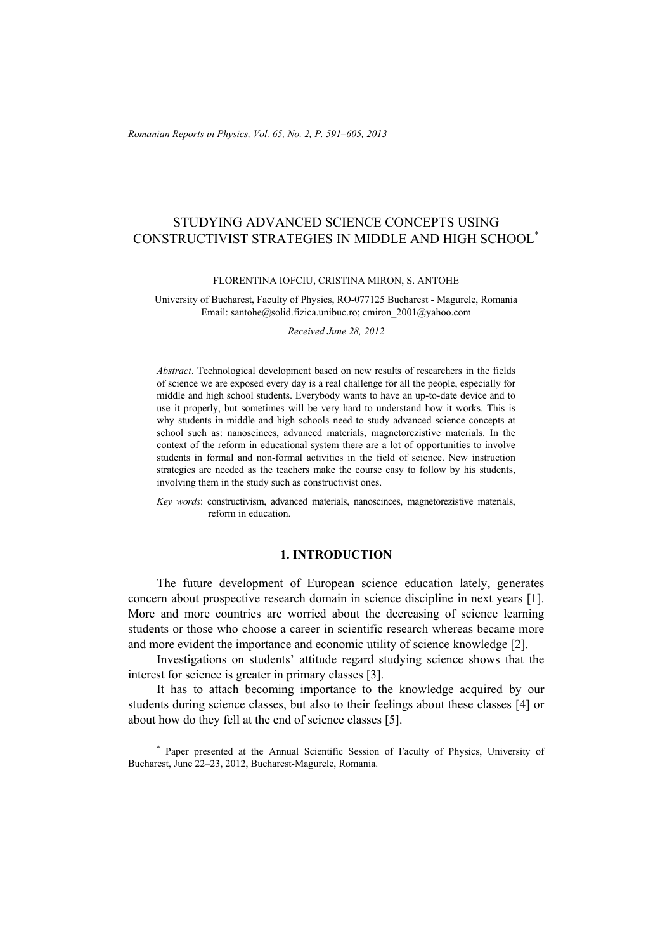# STUDYING ADVANCED SCIENCE CONCEPTS USING CONSTRUCTIVIST STRATEGIES IN MIDDLE AND HIGH SCHOOL\*

#### FLORENTINA IOFCIU, CRISTINA MIRON, S. ANTOHE

University of Bucharest, Faculty of Physics, RO-077125 Bucharest - Magurele, Romania Email: santohe@solid.fizica.unibuc.ro; cmiron\_2001@yahoo.com

*Received June 28, 2012* 

*Abstract*. Technological development based on new results of researchers in the fields of science we are exposed every day is a real challenge for all the people, especially for middle and high school students. Everybody wants to have an up-to-date device and to use it properly, but sometimes will be very hard to understand how it works. This is why students in middle and high schools need to study advanced science concepts at school such as: nanoscinces, advanced materials, magnetorezistive materials. In the context of the reform in educational system there are a lot of opportunities to involve students in formal and non-formal activities in the field of science. New instruction strategies are needed as the teachers make the course easy to follow by his students, involving them in the study such as constructivist ones.

*Key words*: constructivism, advanced materials, nanoscinces, magnetorezistive materials, reform in education.

## **1. INTRODUCTION**

The future development of European science education lately, generates concern about prospective research domain in science discipline in next years [1]. More and more countries are worried about the decreasing of science learning students or those who choose a career in scientific research whereas became more and more evident the importance and economic utility of science knowledge [2].

Investigations on students' attitude regard studying science shows that the interest for science is greater in primary classes [3].

It has to attach becoming importance to the knowledge acquired by our students during science classes, but also to their feelings about these classes [4] or about how do they fell at the end of science classes [5].

\* Paper presented at the Annual Scientific Session of Faculty of Physics, University of Bucharest, June 22–23, 2012, Bucharest-Magurele, Romania.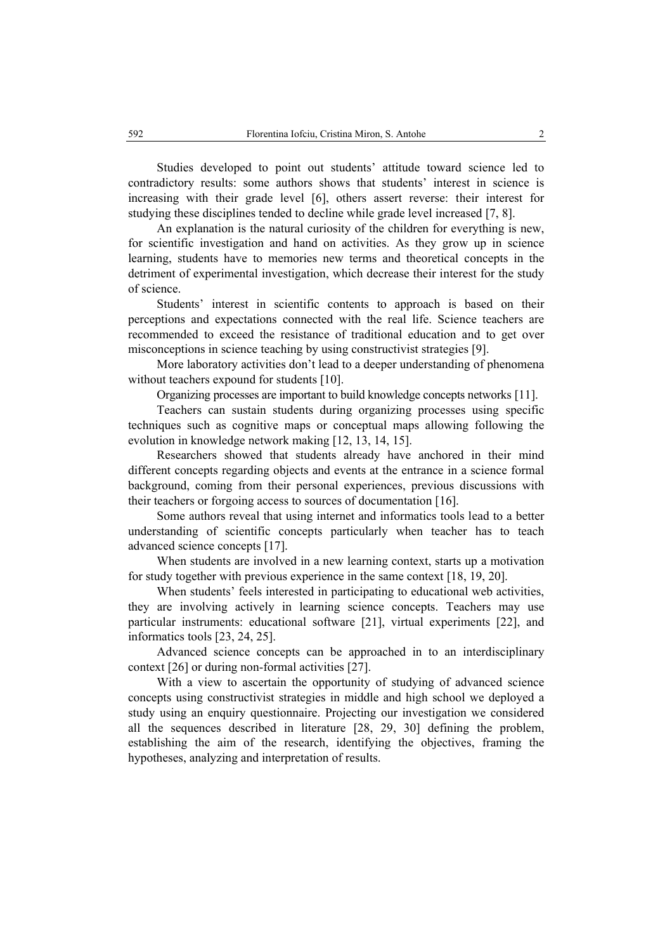Studies developed to point out students' attitude toward science led to contradictory results: some authors shows that students' interest in science is increasing with their grade level [6], others assert reverse: their interest for studying these disciplines tended to decline while grade level increased [7, 8].

An explanation is the natural curiosity of the children for everything is new, for scientific investigation and hand on activities. As they grow up in science learning, students have to memories new terms and theoretical concepts in the detriment of experimental investigation, which decrease their interest for the study of science.

Students' interest in scientific contents to approach is based on their perceptions and expectations connected with the real life. Science teachers are recommended to exceed the resistance of traditional education and to get over misconceptions in science teaching by using constructivist strategies [9].

More laboratory activities don't lead to a deeper understanding of phenomena without teachers expound for students [10].

Organizing processes are important to build knowledge concepts networks [11].

Teachers can sustain students during organizing processes using specific techniques such as cognitive maps or conceptual maps allowing following the evolution in knowledge network making [12, 13, 14, 15].

Researchers showed that students already have anchored in their mind different concepts regarding objects and events at the entrance in a science formal background, coming from their personal experiences, previous discussions with their teachers or forgoing access to sources of documentation [16].

Some authors reveal that using internet and informatics tools lead to a better understanding of scientific concepts particularly when teacher has to teach advanced science concepts [17].

When students are involved in a new learning context, starts up a motivation for study together with previous experience in the same context [18, 19, 20].

When students' feels interested in participating to educational web activities, they are involving actively in learning science concepts. Teachers may use particular instruments: educational software [21], virtual experiments [22], and informatics tools [23, 24, 25].

Advanced science concepts can be approached in to an interdisciplinary context [26] or during non-formal activities [27].

With a view to ascertain the opportunity of studying of advanced science concepts using constructivist strategies in middle and high school we deployed a study using an enquiry questionnaire. Projecting our investigation we considered all the sequences described in literature [28, 29, 30] defining the problem, establishing the aim of the research, identifying the objectives, framing the hypotheses, analyzing and interpretation of results.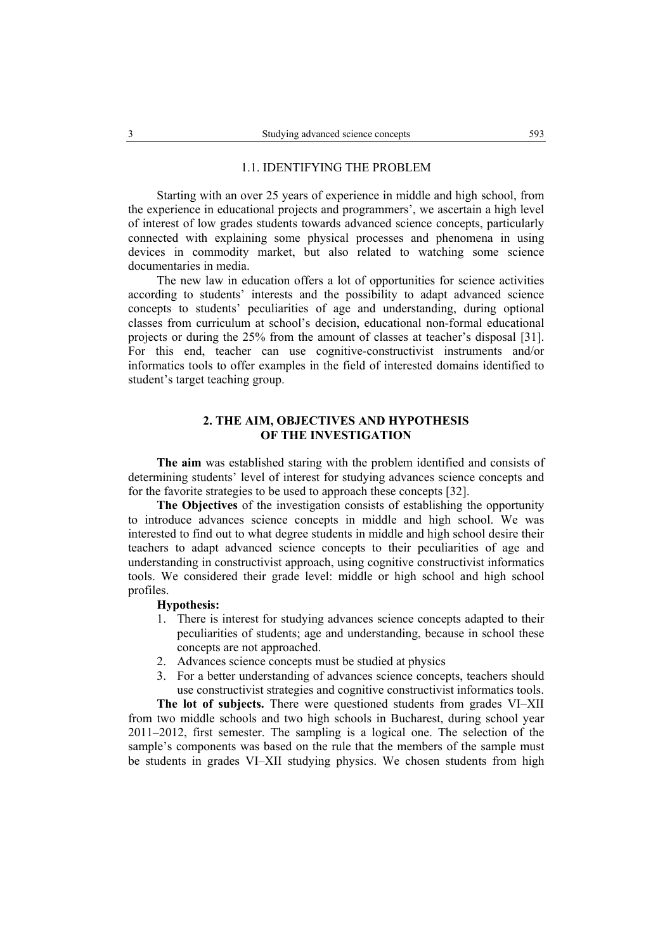### 1.1. IDENTIFYING THE PROBLEM

Starting with an over 25 years of experience in middle and high school, from the experience in educational projects and programmers', we ascertain a high level of interest of low grades students towards advanced science concepts, particularly connected with explaining some physical processes and phenomena in using devices in commodity market, but also related to watching some science documentaries in media.

The new law in education offers a lot of opportunities for science activities according to students' interests and the possibility to adapt advanced science concepts to students' peculiarities of age and understanding, during optional classes from curriculum at school's decision, educational non-formal educational projects or during the 25% from the amount of classes at teacher's disposal [31]. For this end, teacher can use cognitive-constructivist instruments and/or informatics tools to offer examples in the field of interested domains identified to student's target teaching group.

#### **2. THE AIM, OBJECTIVES AND HYPOTHESIS OF THE INVESTIGATION**

**The aim** was established staring with the problem identified and consists of determining students' level of interest for studying advances science concepts and for the favorite strategies to be used to approach these concepts [32].

**The Objectives** of the investigation consists of establishing the opportunity to introduce advances science concepts in middle and high school. We was interested to find out to what degree students in middle and high school desire their teachers to adapt advanced science concepts to their peculiarities of age and understanding in constructivist approach, using cognitive constructivist informatics tools. We considered their grade level: middle or high school and high school profiles.

#### **Hypothesis:**

- 1. There is interest for studying advances science concepts adapted to their peculiarities of students; age and understanding, because in school these concepts are not approached.
- 2. Advances science concepts must be studied at physics
- 3. For a better understanding of advances science concepts, teachers should use constructivist strategies and cognitive constructivist informatics tools.

**The lot of subjects.** There were questioned students from grades VI–XII from two middle schools and two high schools in Bucharest, during school year 2011–2012, first semester. The sampling is a logical one. The selection of the sample's components was based on the rule that the members of the sample must be students in grades VI–XII studying physics. We chosen students from high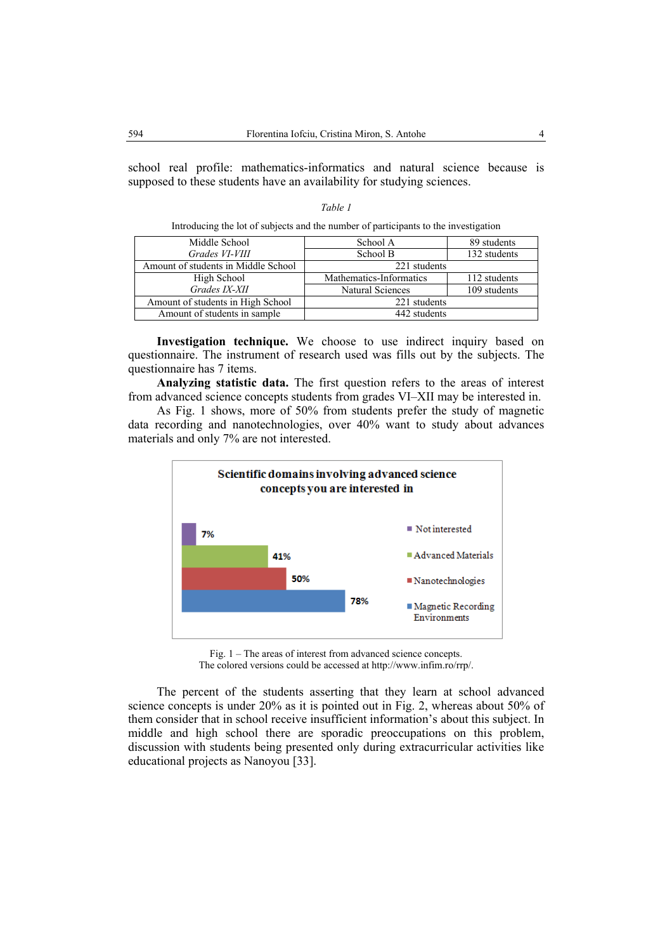school real profile: mathematics-informatics and natural science because is supposed to these students have an availability for studying sciences.

| Middle School                       | School A                | 89 students  |
|-------------------------------------|-------------------------|--------------|
| Grades VI-VIII                      | School B                | 132 students |
| Amount of students in Middle School | 221 students            |              |
| High School                         | Mathematics-Informatics | 112 students |
| Grades IX-XII                       | Natural Sciences        | 109 students |
| Amount of students in High School   | 221 students            |              |
| Amount of students in sample        | 442 students            |              |

Introducing the lot of subjects and the number of participants to the investigation

*Table 1*

**Investigation technique.** We choose to use indirect inquiry based on questionnaire. The instrument of research used was fills out by the subjects. The questionnaire has 7 items.

**Analyzing statistic data.** The first question refers to the areas of interest from advanced science concepts students from grades VI–XII may be interested in.

As Fig. 1 shows, more of 50% from students prefer the study of magnetic data recording and nanotechnologies, over 40% want to study about advances materials and only 7% are not interested.



Fig. 1 – The areas of interest from advanced science concepts. The colored versions could be accessed at http://www.infim.ro/rrp/.

The percent of the students asserting that they learn at school advanced science concepts is under 20% as it is pointed out in Fig. 2, whereas about 50% of them consider that in school receive insufficient information's about this subject. In middle and high school there are sporadic preoccupations on this problem, discussion with students being presented only during extracurricular activities like educational projects as Nanoyou [33].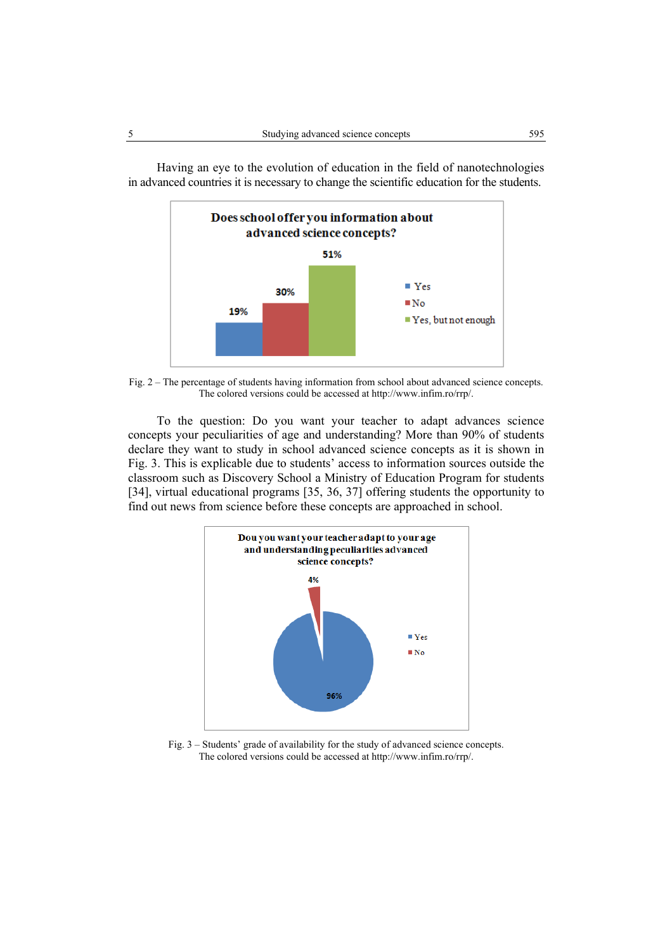

Having an eye to the evolution of education in the field of nanotechnologies in advanced countries it is necessary to change the scientific education for the students.

Fig. 2 – The percentage of students having information from school about advanced science concepts. The colored versions could be accessed at http://www.infim.ro/rrp/.

To the question: Do you want your teacher to adapt advances science concepts your peculiarities of age and understanding? More than 90% of students declare they want to study in school advanced science concepts as it is shown in Fig. 3. This is explicable due to students' access to information sources outside the classroom such as Discovery School a Ministry of Education Program for students [34], virtual educational programs [35, 36, 37] offering students the opportunity to find out news from science before these concepts are approached in school.



Fig. 3 – Students' grade of availability for the study of advanced science concepts. The colored versions could be accessed at http://www.infim.ro/rrp/.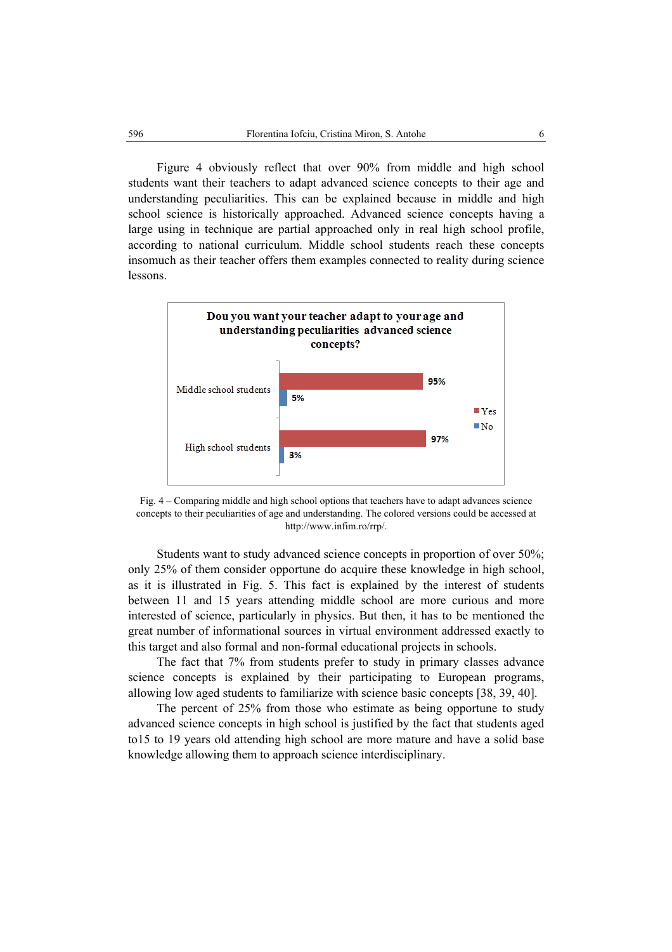Figure 4 obviously reflect that over 90% from middle and high school students want their teachers to adapt advanced science concepts to their age and understanding peculiarities. This can be explained because in middle and high school science is historically approached. Advanced science concepts having a large using in technique are partial approached only in real high school profile, according to national curriculum. Middle school students reach these concepts insomuch as their teacher offers them examples connected to reality during science lessons.



Fig. 4 – Comparing middle and high school options that teachers have to adapt advances science concepts to their peculiarities of age and understanding. The colored versions could be accessed at http://www.infim.ro/rrp/.

Students want to study advanced science concepts in proportion of over 50%; only 25% of them consider opportune do acquire these knowledge in high school, as it is illustrated in Fig. 5. This fact is explained by the interest of students between 11 and 15 years attending middle school are more curious and more interested of science, particularly in physics. But then, it has to be mentioned the great number of informational sources in virtual environment addressed exactly to this target and also formal and non-formal educational projects in schools.

The fact that 7% from students prefer to study in primary classes advance science concepts is explained by their participating to European programs, allowing low aged students to familiarize with science basic concepts [38, 39, 40].

The percent of 25% from those who estimate as being opportune to study advanced science concepts in high school is justified by the fact that students aged to15 to 19 years old attending high school are more mature and have a solid base knowledge allowing them to approach science interdisciplinary.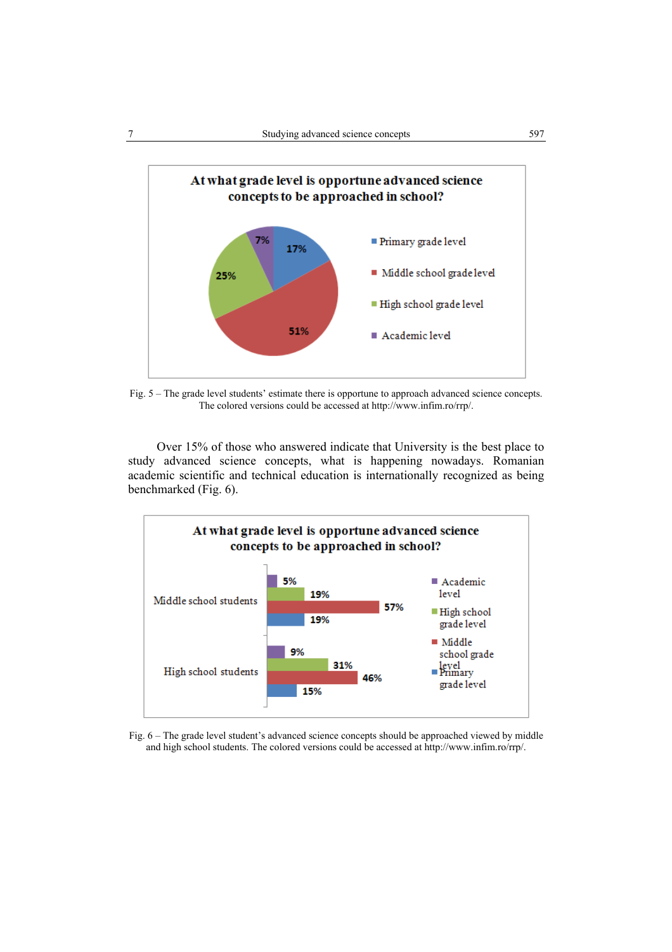

Fig. 5 – The grade level students' estimate there is opportune to approach advanced science concepts. The colored versions could be accessed at http://www.infim.ro/rrp/.

Over 15% of those who answered indicate that University is the best place to study advanced science concepts, what is happening nowadays. Romanian academic scientific and technical education is internationally recognized as being benchmarked (Fig. 6).



Fig. 6 – The grade level student's advanced science concepts should be approached viewed by middle and high school students. The colored versions could be accessed at http://www.infim.ro/rrp/.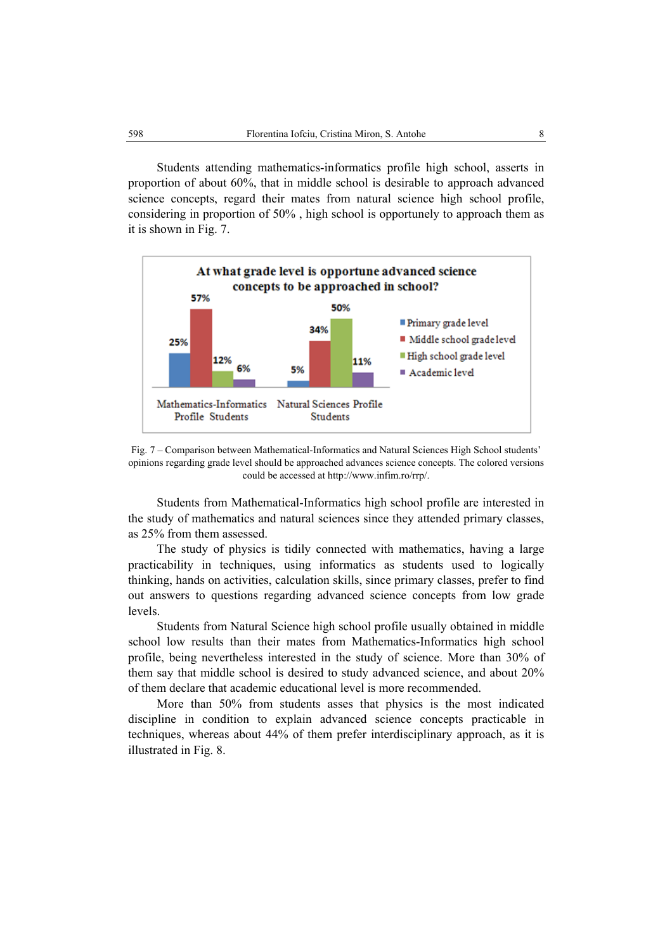Students attending mathematics-informatics profile high school, asserts in proportion of about 60%, that in middle school is desirable to approach advanced science concepts, regard their mates from natural science high school profile, considering in proportion of 50% , high school is opportunely to approach them as it is shown in Fig. 7.



Fig. 7 – Comparison between Mathematical-Informatics and Natural Sciences High School students' opinions regarding grade level should be approached advances science concepts. The colored versions could be accessed at http://www.infim.ro/rrp/.

Students from Mathematical-Informatics high school profile are interested in the study of mathematics and natural sciences since they attended primary classes, as 25% from them assessed.

The study of physics is tidily connected with mathematics, having a large practicability in techniques, using informatics as students used to logically thinking, hands on activities, calculation skills, since primary classes, prefer to find out answers to questions regarding advanced science concepts from low grade levels.

Students from Natural Science high school profile usually obtained in middle school low results than their mates from Mathematics-Informatics high school profile, being nevertheless interested in the study of science. More than 30% of them say that middle school is desired to study advanced science, and about 20% of them declare that academic educational level is more recommended.

More than 50% from students asses that physics is the most indicated discipline in condition to explain advanced science concepts practicable in techniques, whereas about 44% of them prefer interdisciplinary approach, as it is illustrated in Fig. 8.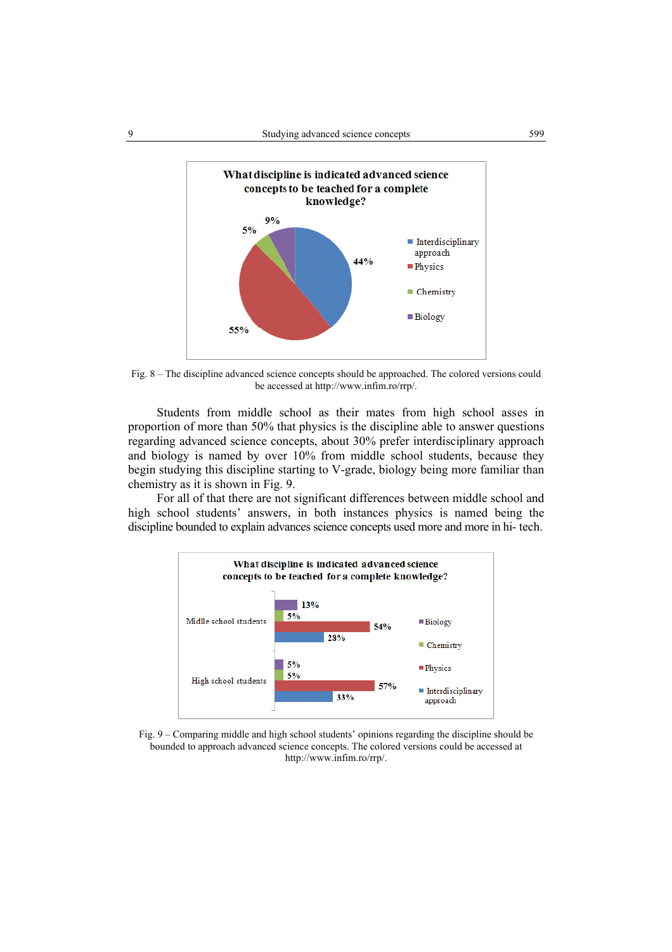

Fig. 8 – The discipline advanced science concepts should be approached. The colored versions could be accessed at http://www.infim.ro/rrp/.

Students from middle school as their mates from high school asses in proportion of more than 50% that physics is the discipline able to answer questions regarding advanced science concepts, about 30% prefer interdisciplinary approach and biology is named by over 10% from middle school students, because they begin studying this discipline starting to V-grade, biology being more familiar than chemistry as it is shown in Fig. 9.

For all of that there are not significant differences between middle school and high school students' answers, in both instances physics is named being the discipline bounded to explain advances science concepts used more and more in hi- tech.



Fig. 9 – Comparing middle and high school students' opinions regarding the discipline should be bounded to approach advanced science concepts. The colored versions could be accessed at http://www.infim.ro/rrp/.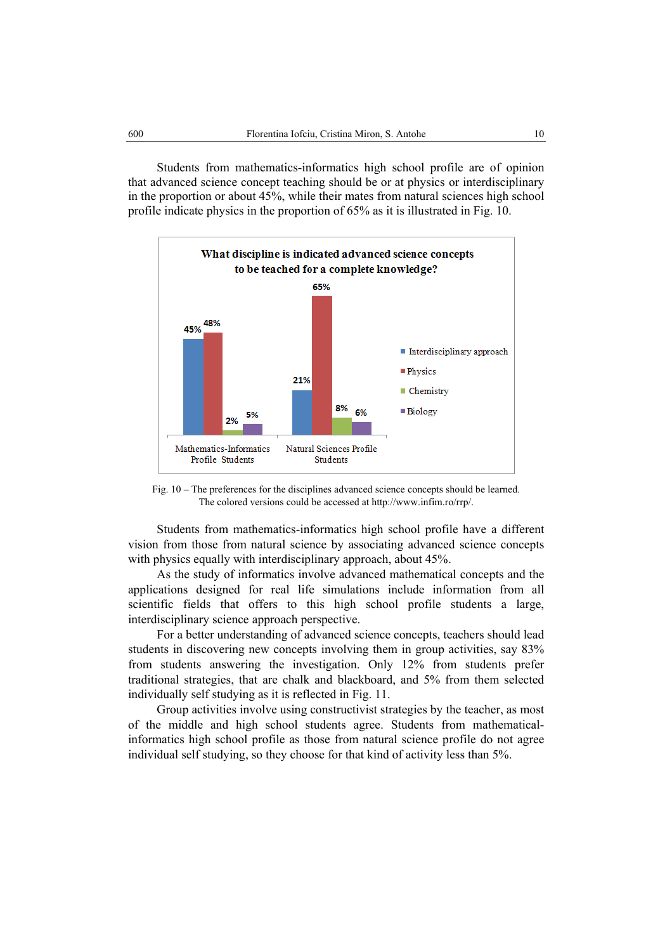Students from mathematics-informatics high school profile are of opinion that advanced science concept teaching should be or at physics or interdisciplinary in the proportion or about 45%, while their mates from natural sciences high school profile indicate physics in the proportion of 65% as it is illustrated in Fig. 10.



Fig. 10 – The preferences for the disciplines advanced science concepts should be learned. The colored versions could be accessed at http://www.infim.ro/rrp/.

Students from mathematics-informatics high school profile have a different vision from those from natural science by associating advanced science concepts with physics equally with interdisciplinary approach, about 45%.

As the study of informatics involve advanced mathematical concepts and the applications designed for real life simulations include information from all scientific fields that offers to this high school profile students a large, interdisciplinary science approach perspective.

For a better understanding of advanced science concepts, teachers should lead students in discovering new concepts involving them in group activities, say 83% from students answering the investigation. Only 12% from students prefer traditional strategies, that are chalk and blackboard, and 5% from them selected individually self studying as it is reflected in Fig. 11.

Group activities involve using constructivist strategies by the teacher, as most of the middle and high school students agree. Students from mathematicalinformatics high school profile as those from natural science profile do not agree individual self studying, so they choose for that kind of activity less than 5%.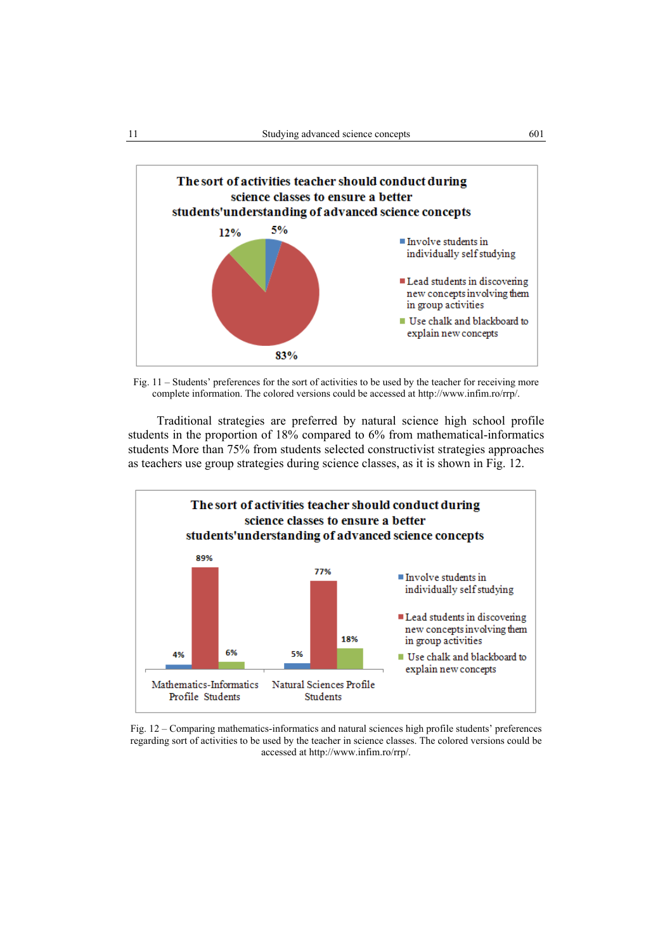

Fig. 11 – Students' preferences for the sort of activities to be used by the teacher for receiving more complete information. The colored versions could be accessed at http://www.infim.ro/rrp/.

Traditional strategies are preferred by natural science high school profile students in the proportion of 18% compared to 6% from mathematical-informatics students More than 75% from students selected constructivist strategies approaches as teachers use group strategies during science classes, as it is shown in Fig. 12.



Fig. 12 – Comparing mathematics-informatics and natural sciences high profile students' preferences regarding sort of activities to be used by the teacher in science classes. The colored versions could be accessed at http://www.infim.ro/rrp/.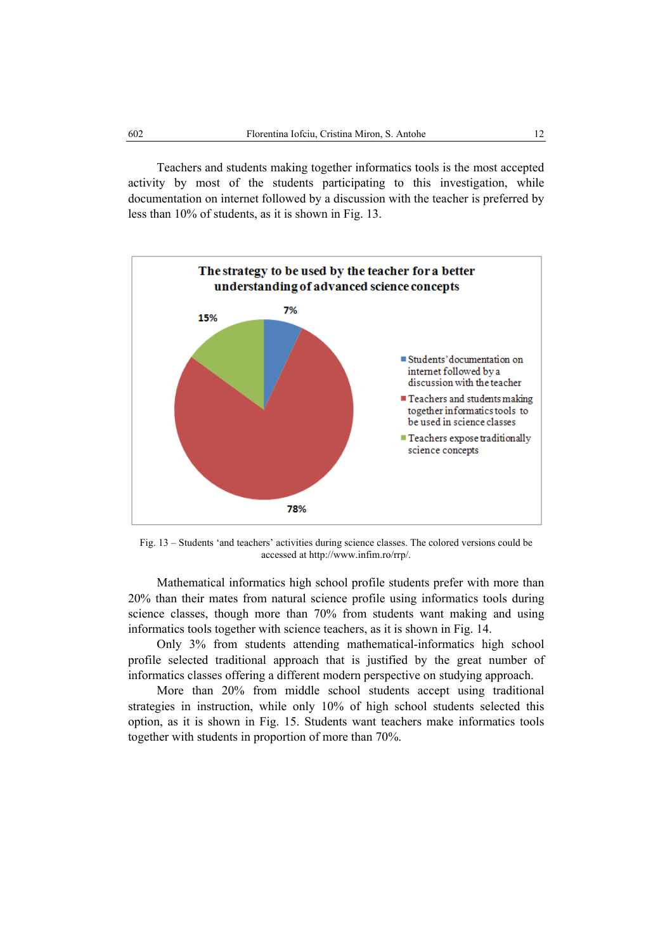Teachers and students making together informatics tools is the most accepted activity by most of the students participating to this investigation, while documentation on internet followed by a discussion with the teacher is preferred by less than 10% of students, as it is shown in Fig. 13.



Fig. 13 – Students 'and teachers' activities during science classes. The colored versions could be accessed at http://www.infim.ro/rrp/.

Mathematical informatics high school profile students prefer with more than 20% than their mates from natural science profile using informatics tools during science classes, though more than 70% from students want making and using informatics tools together with science teachers, as it is shown in Fig. 14.

Only 3% from students attending mathematical-informatics high school profile selected traditional approach that is justified by the great number of informatics classes offering a different modern perspective on studying approach.

More than 20% from middle school students accept using traditional strategies in instruction, while only 10% of high school students selected this option, as it is shown in Fig. 15. Students want teachers make informatics tools together with students in proportion of more than 70%.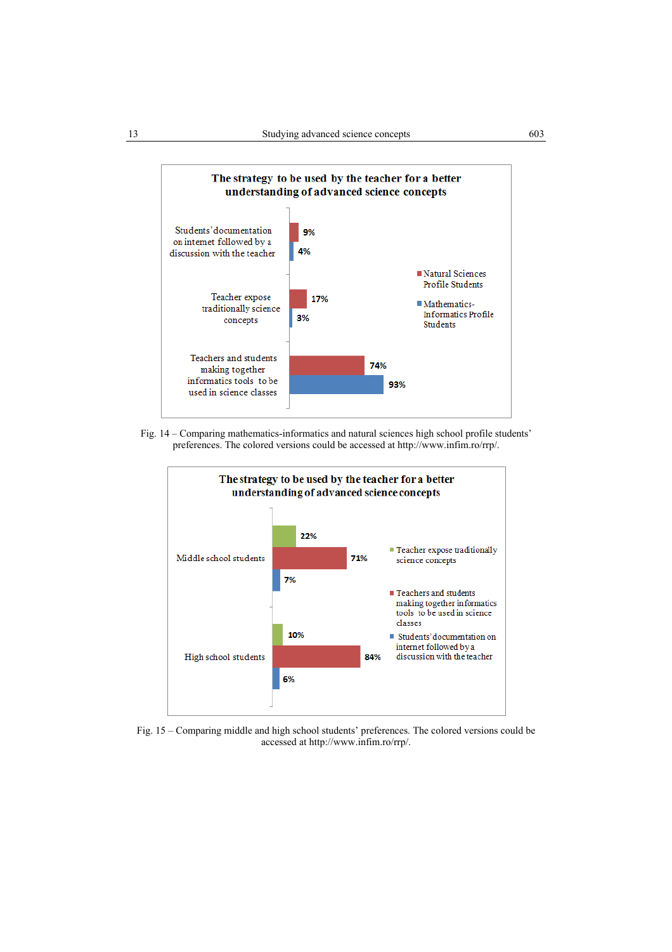

Fig. 14 – Comparing mathematics-informatics and natural sciences high school profile students' preferences. The colored versions could be accessed at http://www.infim.ro/rrp/.



Fig. 15 – Comparing middle and high school students' preferences. The colored versions could be accessed at http://www.infim.ro/rrp/.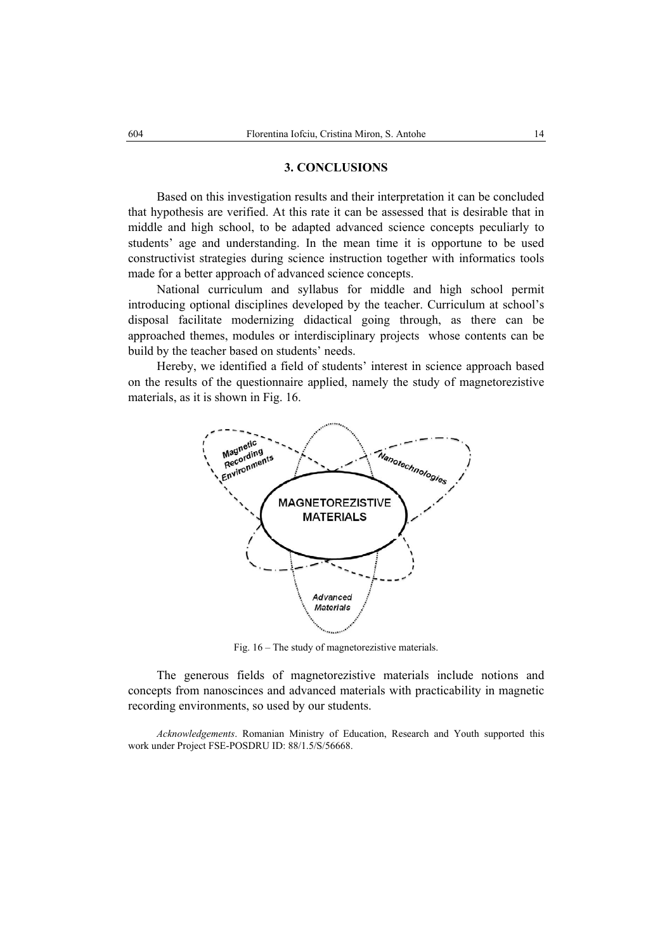### **3. CONCLUSIONS**

Based on this investigation results and their interpretation it can be concluded that hypothesis are verified. At this rate it can be assessed that is desirable that in middle and high school, to be adapted advanced science concepts peculiarly to students' age and understanding. In the mean time it is opportune to be used constructivist strategies during science instruction together with informatics tools made for a better approach of advanced science concepts.

National curriculum and syllabus for middle and high school permit introducing optional disciplines developed by the teacher. Curriculum at school's disposal facilitate modernizing didactical going through, as there can be approached themes, modules or interdisciplinary projects whose contents can be build by the teacher based on students' needs.

Hereby, we identified a field of students' interest in science approach based on the results of the questionnaire applied, namely the study of magnetorezistive materials, as it is shown in Fig. 16.



Fig. 16 – The study of magnetorezistive materials.

The generous fields of magnetorezistive materials include notions and concepts from nanoscinces and advanced materials with practicability in magnetic recording environments, so used by our students.

*Acknowledgements*. Romanian Ministry of Education, Research and Youth supported this work under Project FSE-POSDRU ID: 88/1.5/S/56668.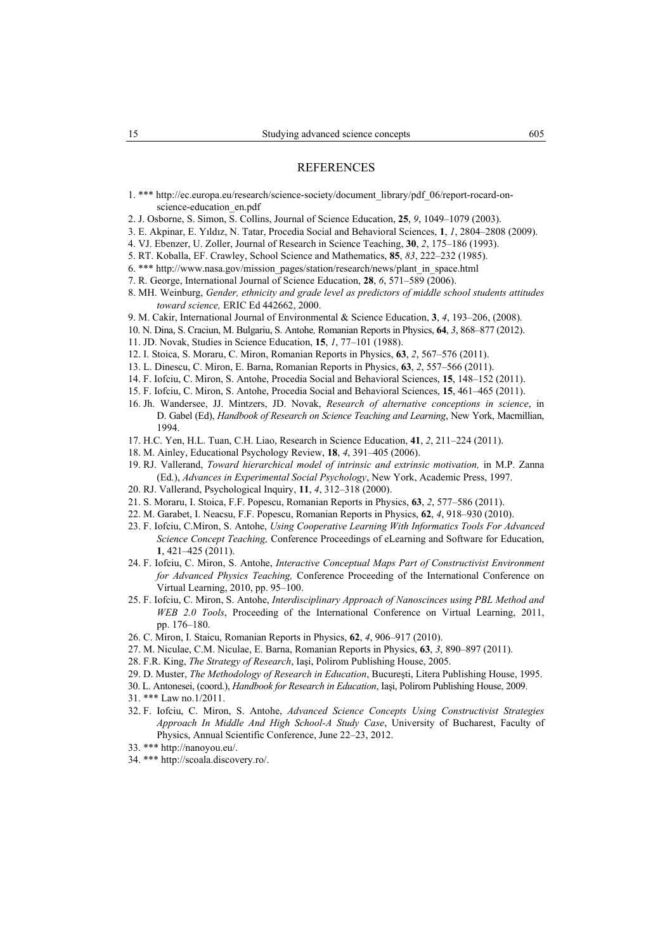### REFERENCES

- 1. \*\*\* http://ec.europa.eu/research/science-society/document\_library/pdf\_06/report-rocard-onscience-education\_en.pdf
- 2. J. Osborne, S. Simon, S. Collins, Journal of Science Education, **25**, *9*, 1049–1079 (2003).
- 3. E. Akpinar, E. Yıldız, N. Tatar, Procedia Social and Behavioral Sciences, **1**, *1*, 2804–2808 (2009).
- 4. VJ. Ebenzer, U. Zoller, Journal of Research in Science Teaching, **30**, *2*, 175–186 (1993).
- 5. RT. Koballa, EF. Crawley, School Science and Mathematics, **85**, *83*, 222–232 (1985).
- 6. \*\*\* http://www.nasa.gov/mission\_pages/station/research/news/plant\_in\_space.html
- 7. R. George, International Journal of Science Education, **28**, *6*, 571–589 (2006).
- 8. MH. Weinburg, *Gender, ethnicity and grade level as predictors of middle school students attitudes toward science,* ERIC Ed 442662, 2000.
- 9. M. Cakir, International Journal of Environmental & Science Education, **3**, *4*, 193–206, (2008).
- 10. N. Dina, S. Craciun, M. Bulgariu, S. Antohe*,* Romanian Reports in Physics, **64**, *3*, 868–877 (2012).
- 11. JD. Novak, Studies in Science Education, **15**, *1*, 77–101 (1988).
- 12. I. Stoica, S. Moraru, C. Miron, Romanian Reports in Physics, **63**, *2*, 567–576 (2011).
- 13. L. Dinescu, C. Miron, E. Barna, Romanian Reports in Physics, **63**, *2*, 557–566 (2011).
- 14. F. Iofciu, C. Miron, S. Antohe, Procedia Social and Behavioral Sciences, **15**, 148–152 (2011).
- 15. F. Iofciu, C. Miron, S. Antohe, Procedia Social and Behavioral Sciences, **15**, 461–465 (2011).
- 16. Jh. Wandersee, JJ. Mintzers, JD. Novak, *Research of alternative conceptions in science*, in D. Gabel (Ed), *Handbook of Research on Science Teaching and Learning*, New York, Macmillian, 1994.
- 17. H.C. Yen, H.L. Tuan, C.H. Liao, Research in Science Education, **41**, *2*, 211–224 (2011).
- 18. M. Ainley, Educational Psychology Review, **18**, *4*, 391–405 (2006).
- 19. RJ. Vallerand, *Toward hierarchical model of intrinsic and extrinsic motivation,* in M.P. Zanna (Ed.), *Advances in Experimental Social Psychology*, New York, Academic Press, 1997.
- 20. RJ. Vallerand, Psychological Inquiry, **11**, *4*, 312–318 (2000).
- 21. S. Moraru, I. Stoica, F.F. Popescu, Romanian Reports in Physics, **63**, *2*, 577–586 (2011).
- 22. M. Garabet, I. Neacsu, F.F. Popescu, Romanian Reports in Physics, **62**, *4*, 918–930 (2010).
- 23. F. Iofciu, C.Miron, S. Antohe, *Using Cooperative Learning With Informatics Tools For Advanced Science Concept Teaching,* Conference Proceedings of eLearning and Software for Education, **1**, 421–425 (2011).
- 24. F. Iofciu, C. Miron, S. Antohe, *Interactive Conceptual Maps Part of Constructivist Environment for Advanced Physics Teaching,* Conference Proceeding of the International Conference on Virtual Learning, 2010, pp. 95–100.
- 25. F. Iofciu, C. Miron, S. Antohe, *Interdisciplinary Approach of Nanoscinces using PBL Method and WEB 2.0 Tools*, Proceeding of the International Conference on Virtual Learning, 2011, pp. 176–180.
- 26. C. Miron, I. Staicu, Romanian Reports in Physics, **62**, *4*, 906–917 (2010).
- 27. M. Niculae, C.M. Niculae, E. Barna, Romanian Reports in Physics, **63**, *3*, 890–897 (2011).
- 28. F.R. King, *The Strategy of Research*, Iaşi, Polirom Publishing House, 2005.
- 29. D. Muster, *The Methodology of Research in Education*, Bucureşti, Litera Publishing House, 1995.
- 30. L. Antonesei, (coord.), *Handbook for Research in Education*, Iaşi, Polirom Publishing House, 2009.
- 31. \*\*\* Law no.1/2011.
- 32. F. Iofciu, C. Miron, S. Antohe, *Advanced Science Concepts Using Constructivist Strategies Approach In Middle And High School-A Study Case*, University of Bucharest, Faculty of Physics, Annual Scientific Conference, June 22–23, 2012.
- 33. \*\*\* http://nanoyou.eu/.
- 34. \*\*\* http://scoala.discovery.ro/.